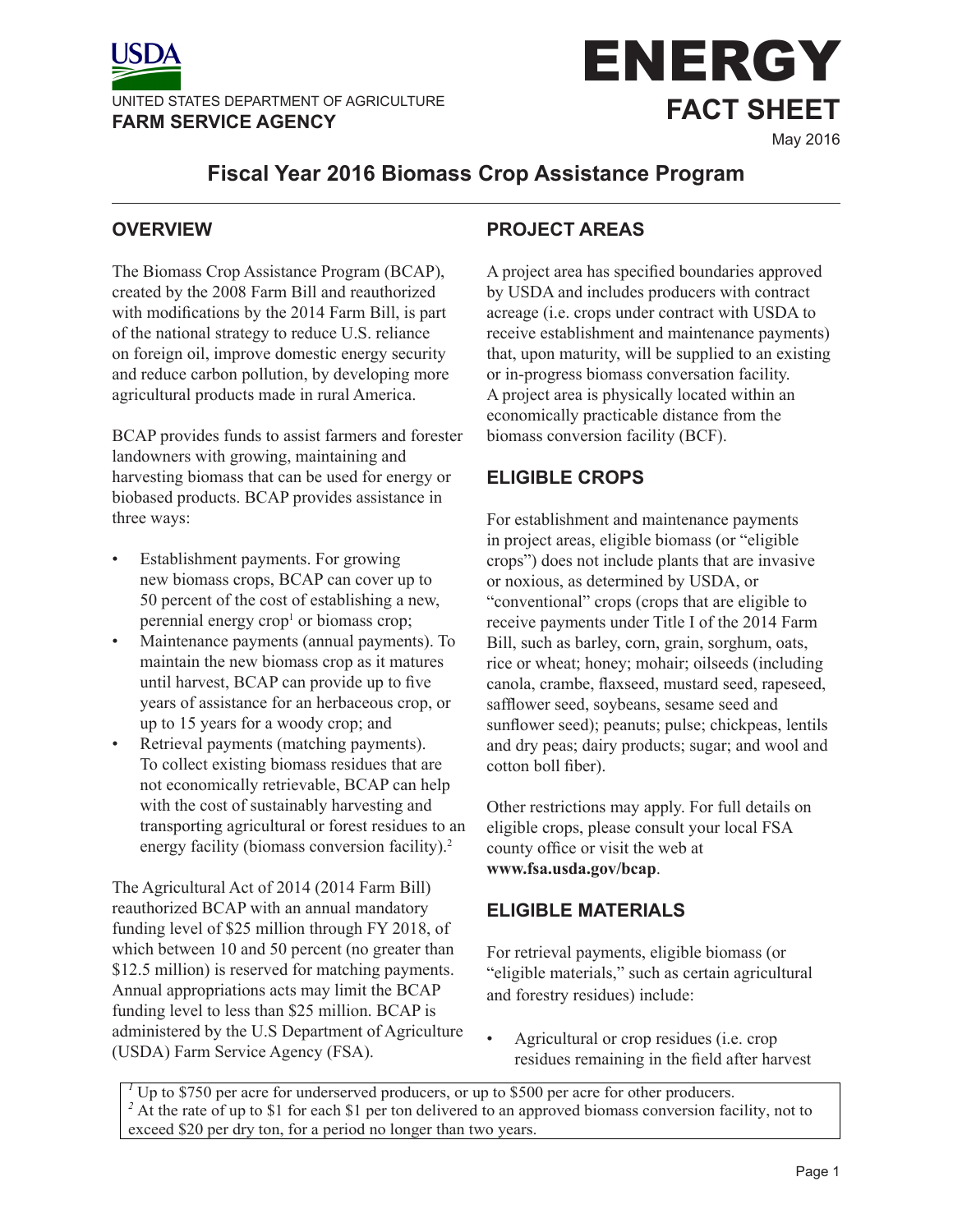



# **Fiscal Year 2016 Biomass Crop Assistance Program**

### **OVERVIEW**

The Biomass Crop Assistance Program (BCAP), created by the 2008 Farm Bill and reauthorized with modifications by the 2014 Farm Bill, is part of the national strategy to reduce U.S. reliance on foreign oil, improve domestic energy security and reduce carbon pollution, by developing more agricultural products made in rural America.

BCAP provides funds to assist farmers and forester landowners with growing, maintaining and harvesting biomass that can be used for energy or biobased products. BCAP provides assistance in three ways:

- Establishment payments. For growing new biomass crops, BCAP can cover up to 50 percent of the cost of establishing a new, perennial energy crop<sup>1</sup> or biomass crop;
- Maintenance payments (annual payments). To maintain the new biomass crop as it matures until harvest, BCAP can provide up to five years of assistance for an herbaceous crop, or up to 15 years for a woody crop; and
- Retrieval payments (matching payments). To collect existing biomass residues that are not economically retrievable, BCAP can help with the cost of sustainably harvesting and transporting agricultural or forest residues to an energy facility (biomass conversion facility).<sup>2</sup>

The Agricultural Act of 2014 (2014 Farm Bill) reauthorized BCAP with an annual mandatory funding level of \$25 million through FY 2018, of which between 10 and 50 percent (no greater than \$12.5 million) is reserved for matching payments. Annual appropriations acts may limit the BCAP funding level to less than \$25 million. BCAP is administered by the U.S Department of Agriculture (USDA) Farm Service Agency (FSA).

## **PROJECT AREAS**

A project area has specified boundaries approved by USDA and includes producers with contract acreage (i.e. crops under contract with USDA to receive establishment and maintenance payments) that, upon maturity, will be supplied to an existing or in-progress biomass conversation facility. A project area is physically located within an economically practicable distance from the biomass conversion facility (BCF).

## **ELIGIBLE CROPS**

For establishment and maintenance payments in project areas, eligible biomass (or "eligible crops") does not include plants that are invasive or noxious, as determined by USDA, or "conventional" crops (crops that are eligible to receive payments under Title I of the 2014 Farm Bill, such as barley, corn, grain, sorghum, oats, rice or wheat; honey; mohair; oilseeds (including canola, crambe, flaxseed, mustard seed, rapeseed, safflower seed, soybeans, sesame seed and sunflower seed); peanuts; pulse; chickpeas, lentils and dry peas; dairy products; sugar; and wool and cotton boll fiber).

Other restrictions may apply. For full details on eligible crops, please consult your local FSA county office or visit the web at **www.fsa.usda.gov/bcap**.

### **ELIGIBLE MATERIALS**

For retrieval payments, eligible biomass (or "eligible materials," such as certain agricultural and forestry residues) include:

• Agricultural or crop residues (i.e. crop residues remaining in the field after harvest

<sup>1</sup> Up to \$750 per acre for underserved producers, or up to \$500 per acre for other producers. <sup>2</sup> At the rate of up to \$1 for each \$1 per ton delivered to an approved biomass conversion facility, not to exceed \$20 per dry ton, for a period no longer than two years.